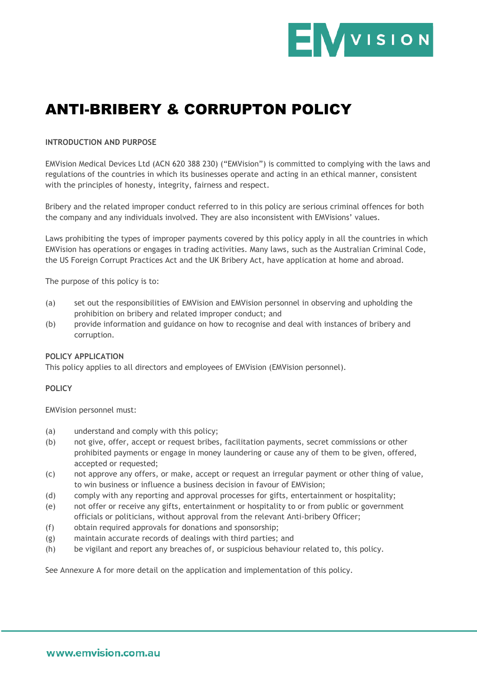

# ANTI-BRIBERY & CORRUPTON POLICY

#### **INTRODUCTION AND PURPOSE**

EMVision Medical Devices Ltd (ACN 620 388 230) ("EMVision") is committed to complying with the laws and regulations of the countries in which its businesses operate and acting in an ethical manner, consistent with the principles of honesty, integrity, fairness and respect.

Bribery and the related improper conduct referred to in this policy are serious criminal offences for both the company and any individuals involved. They are also inconsistent with EMVisions' values.

Laws prohibiting the types of improper payments covered by this policy apply in all the countries in which EMVision has operations or engages in trading activities. Many laws, such as the Australian Criminal Code, the US Foreign Corrupt Practices Act and the UK Bribery Act, have application at home and abroad.

The purpose of this policy is to:

- (a) set out the responsibilities of EMVision and EMVision personnel in observing and upholding the prohibition on bribery and related improper conduct; and
- (b) provide information and guidance on how to recognise and deal with instances of bribery and corruption.

#### **POLICY APPLICATION**

This policy applies to all directors and employees of EMVision (EMVision personnel).

#### **POLICY**

EMVision personnel must:

- (a) understand and comply with this policy;
- (b) not give, offer, accept or request bribes, facilitation payments, secret commissions or other prohibited payments or engage in money laundering or cause any of them to be given, offered, accepted or requested;
- (c) not approve any offers, or make, accept or request an irregular payment or other thing of value, to win business or influence a business decision in favour of EMVision;
- (d) comply with any reporting and approval processes for gifts, entertainment or hospitality;
- (e) not offer or receive any gifts, entertainment or hospitality to or from public or government officials or politicians, without approval from the relevant Anti-bribery Officer;
- (f) obtain required approvals for donations and sponsorship;
- (g) maintain accurate records of dealings with third parties; and
- (h) be vigilant and report any breaches of, or suspicious behaviour related to, this policy.

See Annexure A for more detail on the application and implementation of this policy.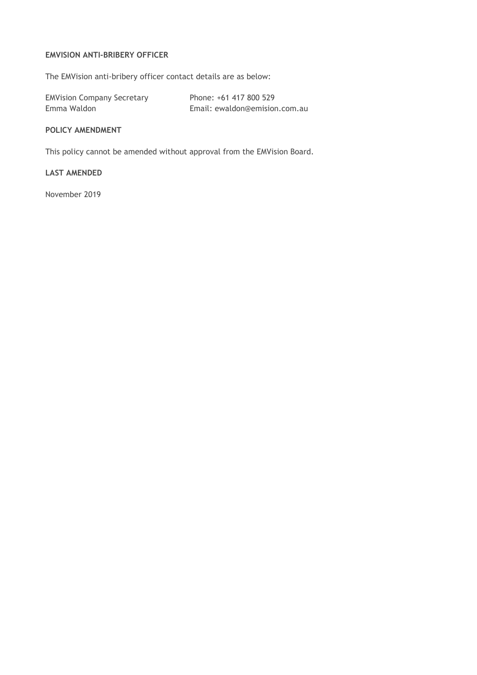## **EMVISION ANTI-BRIBERY OFFICER**

The EMVision anti-bribery officer contact details are as below:

| <b>EMVision Company Secretary</b> | Phone: +61 417 800 529        |
|-----------------------------------|-------------------------------|
| Emma Waldon                       | Email: ewaldon@emision.com.au |

## **POLICY AMENDMENT**

This policy cannot be amended without approval from the EMVision Board.

## **LAST AMENDED**

November 2019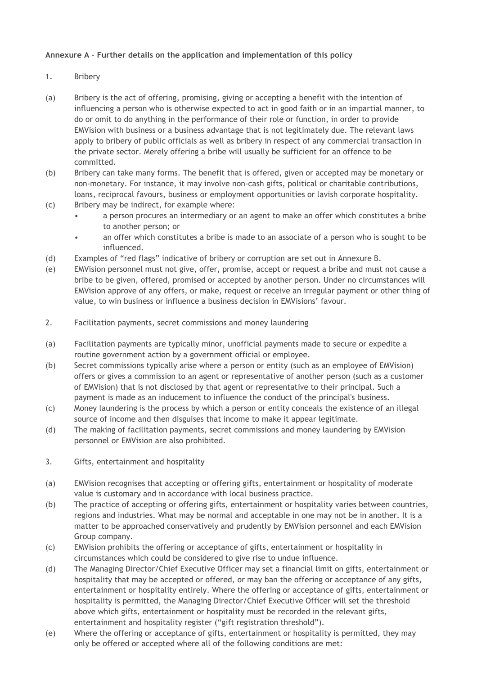## **Annexure A – Further details on the application and implementation of this policy**

- 1. Bribery
- (a) Bribery is the act of offering, promising, giving or accepting a benefit with the intention of influencing a person who is otherwise expected to act in good faith or in an impartial manner, to do or omit to do anything in the performance of their role or function, in order to provide EMVision with business or a business advantage that is not legitimately due. The relevant laws apply to bribery of public officials as well as bribery in respect of any commercial transaction in the private sector. Merely offering a bribe will usually be sufficient for an offence to be committed.
- (b) Bribery can take many forms. The benefit that is offered, given or accepted may be monetary or non-monetary. For instance, it may involve non-cash gifts, political or charitable contributions, loans, reciprocal favours, business or employment opportunities or lavish corporate hospitality.
- (c) Bribery may be indirect, for example where:
	- a person procures an intermediary or an agent to make an offer which constitutes a bribe to another person; or
	- an offer which constitutes a bribe is made to an associate of a person who is sought to be influenced.
- (d) Examples of "red flags" indicative of bribery or corruption are set out in Annexure B.
- (e) EMVision personnel must not give, offer, promise, accept or request a bribe and must not cause a bribe to be given, offered, promised or accepted by another person. Under no circumstances will EMVision approve of any offers, or make, request or receive an irregular payment or other thing of value, to win business or influence a business decision in EMVisions' favour.
- 2. Facilitation payments, secret commissions and money laundering
- (a) Facilitation payments are typically minor, unofficial payments made to secure or expedite a routine government action by a government official or employee.
- (b) Secret commissions typically arise where a person or entity (such as an employee of EMVision) offers or gives a commission to an agent or representative of another person (such as a customer of EMVision) that is not disclosed by that agent or representative to their principal. Such a payment is made as an inducement to influence the conduct of the principal's business.
- (c) Money laundering is the process by which a person or entity conceals the existence of an illegal source of income and then disguises that income to make it appear legitimate.
- (d) The making of facilitation payments, secret commissions and money laundering by EMVision personnel or EMVision are also prohibited.
- 3. Gifts, entertainment and hospitality
- (a) EMVision recognises that accepting or offering gifts, entertainment or hospitality of moderate value is customary and in accordance with local business practice.
- (b) The practice of accepting or offering gifts, entertainment or hospitality varies between countries, regions and industries. What may be normal and acceptable in one may not be in another. It is a matter to be approached conservatively and prudently by EMVision personnel and each EMVision Group company.
- (c) EMVision prohibits the offering or acceptance of gifts, entertainment or hospitality in circumstances which could be considered to give rise to undue influence.
- (d) The Managing Director/Chief Executive Officer may set a financial limit on gifts, entertainment or hospitality that may be accepted or offered, or may ban the offering or acceptance of any gifts, entertainment or hospitality entirely. Where the offering or acceptance of gifts, entertainment or hospitality is permitted, the Managing Director/Chief Executive Officer will set the threshold above which gifts, entertainment or hospitality must be recorded in the relevant gifts, entertainment and hospitality register ("gift registration threshold").
- (e) Where the offering or acceptance of gifts, entertainment or hospitality is permitted, they may only be offered or accepted where all of the following conditions are met: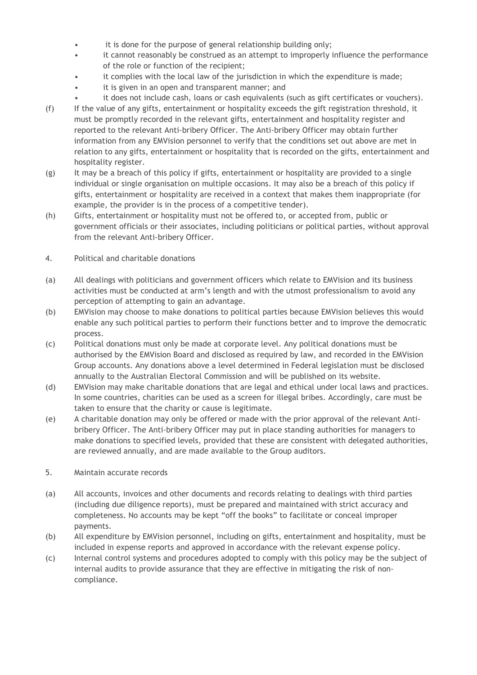- it is done for the purpose of general relationship building only;
- it cannot reasonably be construed as an attempt to improperly influence the performance of the role or function of the recipient;
- it complies with the local law of the jurisdiction in which the expenditure is made;
- it is given in an open and transparent manner; and
- it does not include cash, loans or cash equivalents (such as gift certificates or vouchers).
- (f) If the value of any gifts, entertainment or hospitality exceeds the gift registration threshold, it must be promptly recorded in the relevant gifts, entertainment and hospitality register and reported to the relevant Anti-bribery Officer. The Anti-bribery Officer may obtain further information from any EMVision personnel to verify that the conditions set out above are met in relation to any gifts, entertainment or hospitality that is recorded on the gifts, entertainment and hospitality register.
- (g) It may be a breach of this policy if gifts, entertainment or hospitality are provided to a single individual or single organisation on multiple occasions. It may also be a breach of this policy if gifts, entertainment or hospitality are received in a context that makes them inappropriate (for example, the provider is in the process of a competitive tender).
- (h) Gifts, entertainment or hospitality must not be offered to, or accepted from, public or government officials or their associates, including politicians or political parties, without approval from the relevant Anti-bribery Officer.
- 4. Political and charitable donations
- (a) All dealings with politicians and government officers which relate to EMVision and its business activities must be conducted at arm's length and with the utmost professionalism to avoid any perception of attempting to gain an advantage.
- (b) EMVision may choose to make donations to political parties because EMVision believes this would enable any such political parties to perform their functions better and to improve the democratic process.
- (c) Political donations must only be made at corporate level. Any political donations must be authorised by the EMVision Board and disclosed as required by law, and recorded in the EMVision Group accounts. Any donations above a level determined in Federal legislation must be disclosed annually to the Australian Electoral Commission and will be published on its website.
- (d) EMVision may make charitable donations that are legal and ethical under local laws and practices. In some countries, charities can be used as a screen for illegal bribes. Accordingly, care must be taken to ensure that the charity or cause is legitimate.
- (e) A charitable donation may only be offered or made with the prior approval of the relevant Antibribery Officer. The Anti-bribery Officer may put in place standing authorities for managers to make donations to specified levels, provided that these are consistent with delegated authorities, are reviewed annually, and are made available to the Group auditors.
- 5. Maintain accurate records
- (a) All accounts, invoices and other documents and records relating to dealings with third parties (including due diligence reports), must be prepared and maintained with strict accuracy and completeness. No accounts may be kept "off the books" to facilitate or conceal improper payments.
- (b) All expenditure by EMVision personnel, including on gifts, entertainment and hospitality, must be included in expense reports and approved in accordance with the relevant expense policy.
- (c) Internal control systems and procedures adopted to comply with this policy may be the subject of internal audits to provide assurance that they are effective in mitigating the risk of noncompliance.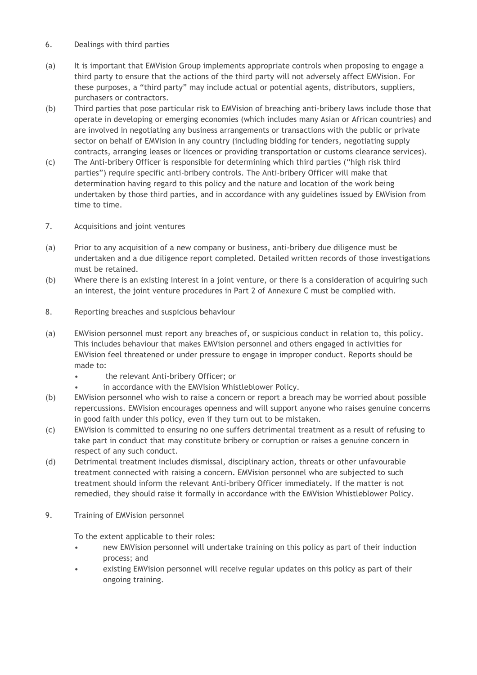- 6. Dealings with third parties
- (a) It is important that EMVision Group implements appropriate controls when proposing to engage a third party to ensure that the actions of the third party will not adversely affect EMVision. For these purposes, a "third party" may include actual or potential agents, distributors, suppliers, purchasers or contractors.
- (b) Third parties that pose particular risk to EMVision of breaching anti-bribery laws include those that operate in developing or emerging economies (which includes many Asian or African countries) and are involved in negotiating any business arrangements or transactions with the public or private sector on behalf of EMVision in any country (including bidding for tenders, negotiating supply contracts, arranging leases or licences or providing transportation or customs clearance services).
- (c) The Anti-bribery Officer is responsible for determining which third parties ("high risk third parties") require specific anti-bribery controls. The Anti-bribery Officer will make that determination having regard to this policy and the nature and location of the work being undertaken by those third parties, and in accordance with any guidelines issued by EMVision from time to time.
- 7. Acquisitions and joint ventures
- (a) Prior to any acquisition of a new company or business, anti-bribery due diligence must be undertaken and a due diligence report completed. Detailed written records of those investigations must be retained.
- (b) Where there is an existing interest in a joint venture, or there is a consideration of acquiring such an interest, the joint venture procedures in Part 2 of Annexure C must be complied with.
- 8. Reporting breaches and suspicious behaviour
- (a) EMVision personnel must report any breaches of, or suspicious conduct in relation to, this policy. This includes behaviour that makes EMVision personnel and others engaged in activities for EMVision feel threatened or under pressure to engage in improper conduct. Reports should be made to:
	- the relevant Anti-bribery Officer; or
	- in accordance with the EMVision Whistleblower Policy.
- (b) EMVision personnel who wish to raise a concern or report a breach may be worried about possible repercussions. EMVision encourages openness and will support anyone who raises genuine concerns in good faith under this policy, even if they turn out to be mistaken.
- (c) EMVision is committed to ensuring no one suffers detrimental treatment as a result of refusing to take part in conduct that may constitute bribery or corruption or raises a genuine concern in respect of any such conduct.
- (d) Detrimental treatment includes dismissal, disciplinary action, threats or other unfavourable treatment connected with raising a concern. EMVision personnel who are subjected to such treatment should inform the relevant Anti-bribery Officer immediately. If the matter is not remedied, they should raise it formally in accordance with the EMVision Whistleblower Policy.
- 9. Training of EMVision personnel

To the extent applicable to their roles:

- new EMVision personnel will undertake training on this policy as part of their induction process; and
- existing EMVision personnel will receive regular updates on this policy as part of their ongoing training.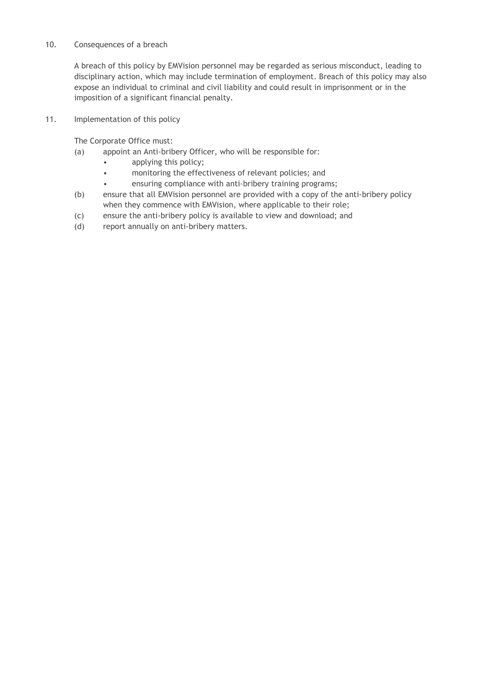### 10. Consequences of a breach

A breach of this policy by EMVision personnel may be regarded as serious misconduct, leading to disciplinary action, which may include termination of employment. Breach of this policy may also expose an individual to criminal and civil liability and could result in imprisonment or in the imposition of a significant financial penalty.

11. Implementation of this policy

The Corporate Office must:

- (a) appoint an Anti-bribery Officer, who will be responsible for:
	- applying this policy;
	- monitoring the effectiveness of relevant policies; and
		- ensuring compliance with anti-bribery training programs;
- (b) ensure that all EMVision personnel are provided with a copy of the anti-bribery policy when they commence with EMVision, where applicable to their role;
- (c) ensure the anti-bribery policy is available to view and download; and
- (d) report annually on anti-bribery matters.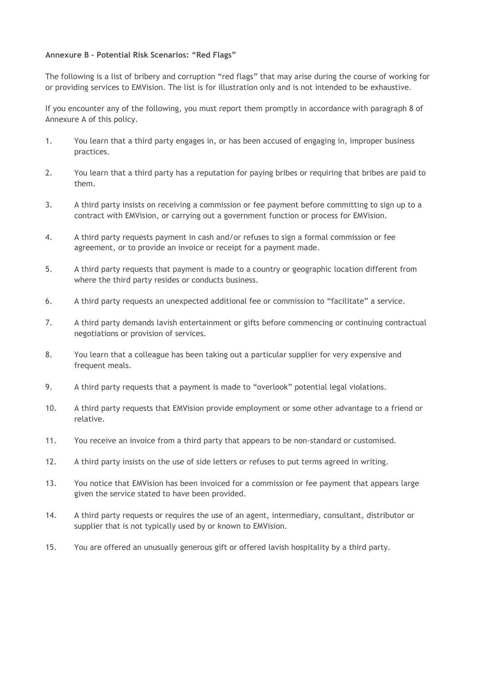#### **Annexure B – Potential Risk Scenarios: "Red Flags"**

The following is a list of bribery and corruption "red flags" that may arise during the course of working for or providing services to EMVision. The list is for illustration only and is not intended to be exhaustive.

If you encounter any of the following, you must report them promptly in accordance with paragraph 8 of Annexure A of this policy.

- 1. You learn that a third party engages in, or has been accused of engaging in, improper business practices.
- 2. You learn that a third party has a reputation for paying bribes or requiring that bribes are paid to them.
- 3. A third party insists on receiving a commission or fee payment before committing to sign up to a contract with EMVision, or carrying out a government function or process for EMVision.
- 4. A third party requests payment in cash and/or refuses to sign a formal commission or fee agreement, or to provide an invoice or receipt for a payment made.
- 5. A third party requests that payment is made to a country or geographic location different from where the third party resides or conducts business.
- 6. A third party requests an unexpected additional fee or commission to "facilitate" a service.
- 7. A third party demands lavish entertainment or gifts before commencing or continuing contractual negotiations or provision of services.
- 8. You learn that a colleague has been taking out a particular supplier for very expensive and frequent meals.
- 9. A third party requests that a payment is made to "overlook" potential legal violations.
- 10. A third party requests that EMVision provide employment or some other advantage to a friend or relative.
- 11. You receive an invoice from a third party that appears to be non-standard or customised.
- 12. A third party insists on the use of side letters or refuses to put terms agreed in writing.
- 13. You notice that EMVision has been invoiced for a commission or fee payment that appears large given the service stated to have been provided.
- 14. A third party requests or requires the use of an agent, intermediary, consultant, distributor or supplier that is not typically used by or known to EMVision.
- 15. You are offered an unusually generous gift or offered lavish hospitality by a third party.